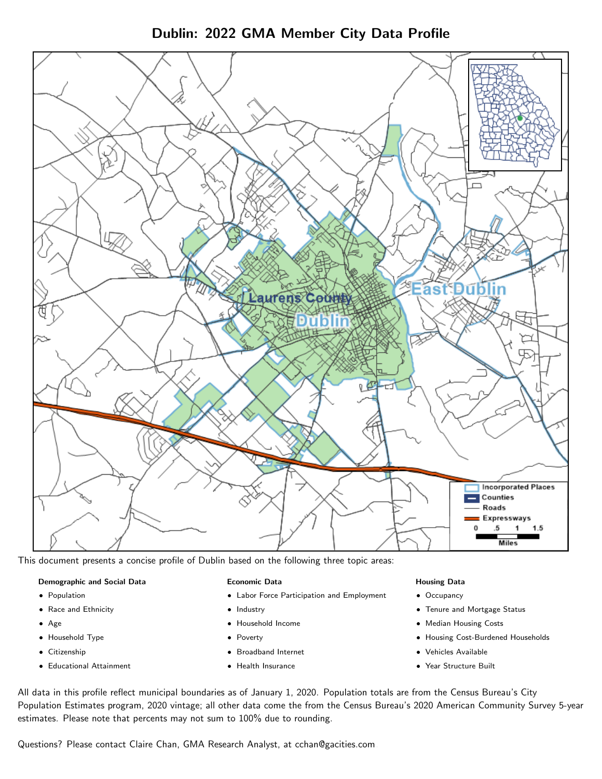Dublin: 2022 GMA Member City Data Profile



This document presents a concise profile of Dublin based on the following three topic areas:

## Demographic and Social Data

- **•** Population
- Race and Ethnicity
- Age
- Household Type
- **Citizenship**
- Educational Attainment

#### Economic Data

- Labor Force Participation and Employment
- Industry
- Household Income
- Poverty
- Broadband Internet
- Health Insurance

#### Housing Data

- Occupancy
- Tenure and Mortgage Status
- Median Housing Costs
- Housing Cost-Burdened Households
- Vehicles Available
- Year Structure Built

All data in this profile reflect municipal boundaries as of January 1, 2020. Population totals are from the Census Bureau's City Population Estimates program, 2020 vintage; all other data come the from the Census Bureau's 2020 American Community Survey 5-year estimates. Please note that percents may not sum to 100% due to rounding.

Questions? Please contact Claire Chan, GMA Research Analyst, at [cchan@gacities.com.](mailto:cchan@gacities.com)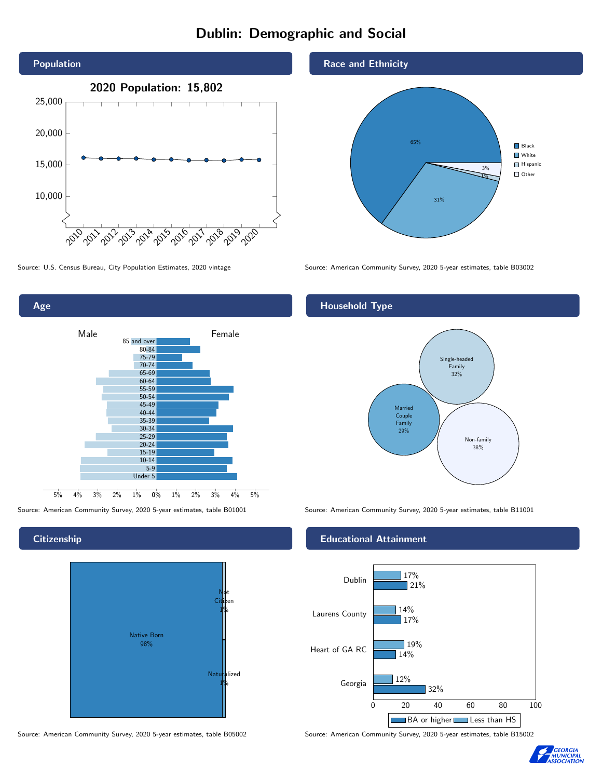# Dublin: Demographic and Social



0% 1% 2% 3% 4% 5% Male **Female** Female 5% 4% 3% 2% 1% 85 and over 80-84 75-79 70-74 65-69 60-64 55-59 50-54 45-49 40-44 35-39 30-34 25-29 20-24 15-19 10-14 5-9 Under 5

**Citizenship** 

Age



Source: American Community Survey, 2020 5-year estimates, table B05002 Source: American Community Survey, 2020 5-year estimates, table B15002





Source: U.S. Census Bureau, City Population Estimates, 2020 vintage Source: American Community Survey, 2020 5-year estimates, table B03002

# Household Type



Source: American Community Survey, 2020 5-year estimates, table B01001 Source: American Community Survey, 2020 5-year estimates, table B11001

## Educational Attainment



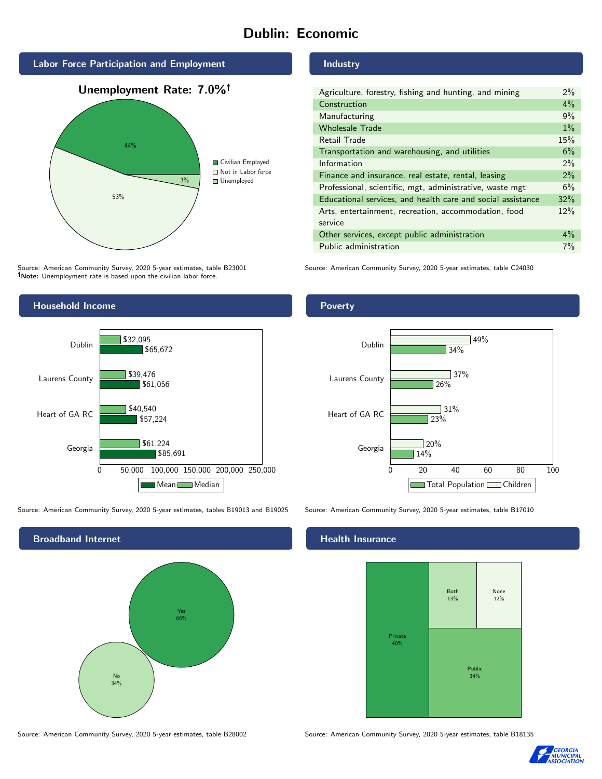# Dublin: Economic



Source: American Community Survey, 2020 5-year estimates, table B23001 Note: Unemployment rate is based upon the civilian labor force.

## Industry

| Agriculture, forestry, fishing and hunting, and mining      | $2\%$ |
|-------------------------------------------------------------|-------|
| Construction                                                | $4\%$ |
| Manufacturing                                               | 9%    |
| <b>Wholesale Trade</b>                                      | $1\%$ |
| Retail Trade                                                | 15%   |
| Transportation and warehousing, and utilities               | 6%    |
| Information                                                 | 2%    |
| Finance and insurance, real estate, rental, leasing         | 2%    |
| Professional, scientific, mgt, administrative, waste mgt    | 6%    |
| Educational services, and health care and social assistance | 32%   |
| Arts, entertainment, recreation, accommodation, food        | 12%   |
| service                                                     |       |
| Other services, except public administration                | $4\%$ |
| Public administration                                       | 7%    |

Source: American Community Survey, 2020 5-year estimates, table C24030



Source: American Community Survey, 2020 5-year estimates, tables B19013 and B19025 Source: American Community Survey, 2020 5-year estimates, table B17010



Source: American Community Survey, 2020 5-year estimates, table B28002 Source: American Community Survey, 2020 5-year estimates, table B18135

Poverty



#### Health Insurance